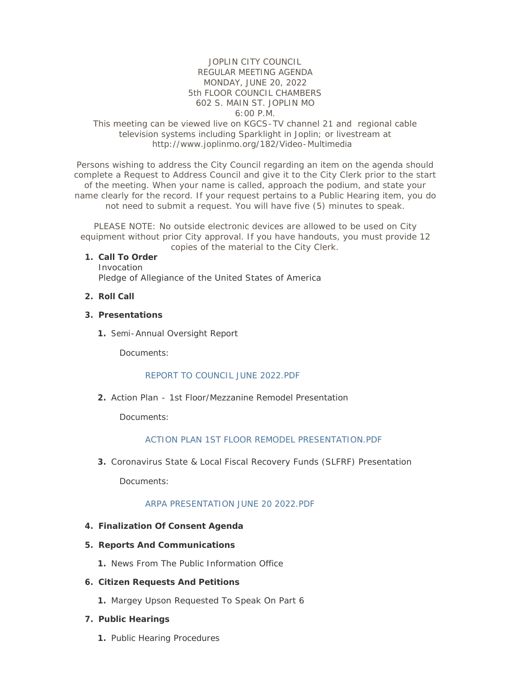## JOPLIN CITY COUNCIL REGULAR MEETING AGENDA MONDAY, JUNE 20, 2022 5th FLOOR COUNCIL CHAMBERS 602 S. MAIN ST. JOPLIN MO 6:00 P.M.

## This meeting can be viewed live on KGCS-TV channel 21 and regional cable television systems including Sparklight in Joplin; or livestream at http://www.joplinmo.org/182/Video-Multimedia

Persons wishing to address the City Council regarding an item on the agenda should complete a Request to Address Council and give it to the City Clerk prior to the start of the meeting. When your name is called, approach the podium, and state your name clearly for the record. If your request pertains to a Public Hearing item, you do not need to submit a request. You will have five (5) minutes to speak.

PLEASE NOTE: No outside electronic devices are allowed to be used on City equipment without prior City approval. If you have handouts, you must provide 12 copies of the material to the City Clerk.

#### **Call To Order 1.**

Invocation Pledge of Allegiance of the United States of America

**Roll Call 2.**

#### **Presentations 3.**

1. Semi-Annual Oversight Report

Documents:

#### [REPORT TO COUNCIL JUNE 2022.PDF](http://www.joplinmo.org/AgendaCenter/ViewFile/Item/8603?fileID=52300)

Action Plan - 1st Floor/Mezzanine Remodel Presentation **2.**

Documents:

#### [ACTION PLAN 1ST FLOOR REMODEL PRESENTATION.PDF](http://www.joplinmo.org/AgendaCenter/ViewFile/Item/8605?fileID=52298)

Coronavirus State & Local Fiscal Recovery Funds (SLFRF) Presentation **3.**

Documents:

#### [ARPA PRESENTATION JUNE 20 2022.PDF](http://www.joplinmo.org/AgendaCenter/ViewFile/Item/8604?fileID=52299)

#### **Finalization Of Consent Agenda 4.**

- **Reports And Communications 5.**
	- 1. News From The Public Information Office

#### **Citizen Requests And Petitions 6.**

1. Margey Upson Requested To Speak On Part 6

#### **Public Hearings 7.**

1. Public Hearing Procedures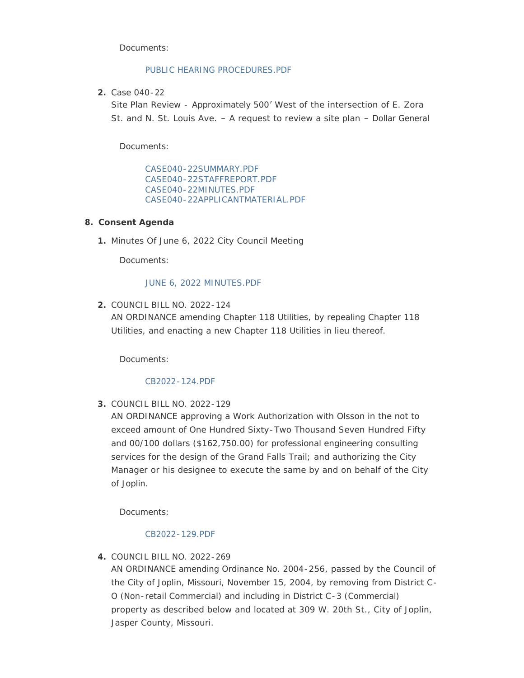Documents:

#### [PUBLIC HEARING PROCEDURES.PDF](http://www.joplinmo.org/AgendaCenter/ViewFile/Item/8601?fileID=52258)

Case 040-22 **2.**

Site Plan Review - Approximately 500' West of the intersection of E. Zora St. and N. St. Louis Ave. – A request to review a site plan – Dollar General

Documents:

[CASE040-22SUMMARY.PDF](http://www.joplinmo.org/AgendaCenter/ViewFile/Item/8597?fileID=52253) [CASE040-22STAFFREPORT.PDF](http://www.joplinmo.org/AgendaCenter/ViewFile/Item/8597?fileID=52254) [CASE040-22MINUTES.PDF](http://www.joplinmo.org/AgendaCenter/ViewFile/Item/8597?fileID=52255) [CASE040-22APPLICANTMATERIAL.PDF](http://www.joplinmo.org/AgendaCenter/ViewFile/Item/8597?fileID=52256)

## **Consent Agenda 8.**

1. Minutes Of June 6, 2022 City Council Meeting

Documents:

## [JUNE 6, 2022 MINUTES.PDF](http://www.joplinmo.org/AgendaCenter/ViewFile/Item/8600?fileID=52281)

COUNCIL BILL NO. 2022-124 **2.** AN ORDINANCE amending Chapter 118 Utilities, by repealing Chapter 118 Utilities, and enacting a new Chapter 118 Utilities in lieu thereof.

Documents:

## [CB2022-124.PDF](http://www.joplinmo.org/AgendaCenter/ViewFile/Item/8587?fileID=52077)

COUNCIL BILL NO. 2022-129 **3.**

AN ORDINANCE approving a Work Authorization with Olsson in the not to exceed amount of One Hundred Sixty-Two Thousand Seven Hundred Fifty and 00/100 dollars (\$162,750.00) for professional engineering consulting services for the design of the Grand Falls Trail; and authorizing the City Manager or his designee to execute the same by and on behalf of the City of Joplin.

Documents:

## [CB2022-129.PDF](http://www.joplinmo.org/AgendaCenter/ViewFile/Item/8588?fileID=52078)

COUNCIL BILL NO. 2022-269 **4.**

AN ORDINANCE amending Ordinance No. 2004-256, passed by the Council of the City of Joplin, Missouri, November 15, 2004, by removing from District C-O (Non-retail Commercial) and including in District C-3 (Commercial) property as described below and located at 309 W. 20th St., City of Joplin, Jasper County, Missouri.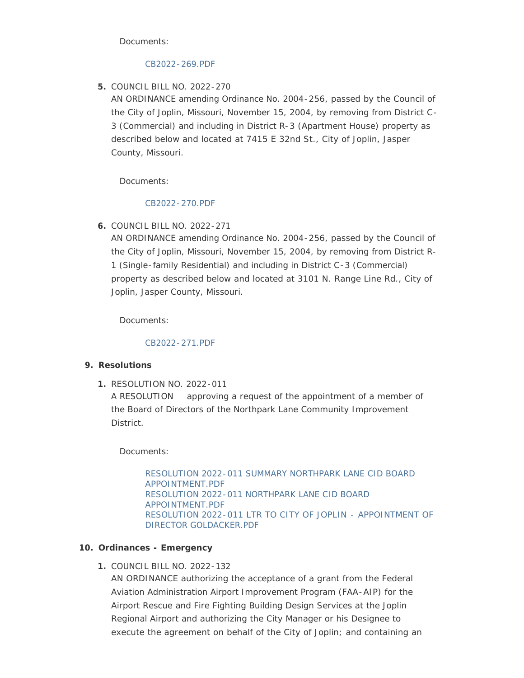Documents:

#### [CB2022-269.PDF](http://www.joplinmo.org/AgendaCenter/ViewFile/Item/8589?fileID=52079)

COUNCIL BILL NO. 2022-270 **5.**

AN ORDINANCE amending Ordinance No. 2004-256, passed by the Council of the City of Joplin, Missouri, November 15, 2004, by removing from District C-3 (Commercial) and including in District R-3 (Apartment House) property as described below and located at 7415 E 32nd St., City of Joplin, Jasper County, Missouri.

Documents:

## [CB2022-270.PDF](http://www.joplinmo.org/AgendaCenter/ViewFile/Item/8590?fileID=52080)

COUNCIL BILL NO. 2022-271 **6.**

AN ORDINANCE amending Ordinance No. 2004-256, passed by the Council of the City of Joplin, Missouri, November 15, 2004, by removing from District R-1 (Single-family Residential) and including in District C-3 (Commercial) property as described below and located at 3101 N. Range Line Rd., City of Joplin, Jasper County, Missouri.

Documents:

[CB2022-271.PDF](http://www.joplinmo.org/AgendaCenter/ViewFile/Item/8591?fileID=52081)

# **Resolutions 9.**

RESOLUTION NO. 2022-011 **1.**

A RESOLUTION approving a request of the appointment of a member of the Board of Directors of the Northpark Lane Community Improvement District.

Documents:

[RESOLUTION 2022-011 SUMMARY NORTHPARK LANE CID BOARD](http://www.joplinmo.org/AgendaCenter/ViewFile/Item/8606?fileID=52262)  APPOINTMENT.PDF [RESOLUTION 2022-011 NORTHPARK LANE CID BOARD](http://www.joplinmo.org/AgendaCenter/ViewFile/Item/8606?fileID=52261)  APPOINTMENT.PDF [RESOLUTION 2022-011 LTR TO CITY OF JOPLIN - APPOINTMENT OF](http://www.joplinmo.org/AgendaCenter/ViewFile/Item/8606?fileID=52260)  DIRECTOR GOLDACKER.PDF

# **Ordinances - Emergency 10.**

COUNCIL BILL NO. 2022-132 **1.**

AN ORDINANCE authorizing the acceptance of a grant from the Federal Aviation Administration Airport Improvement Program (FAA-AIP) for the Airport Rescue and Fire Fighting Building Design Services at the Joplin Regional Airport and authorizing the City Manager or his Designee to execute the agreement on behalf of the City of Joplin; and containing an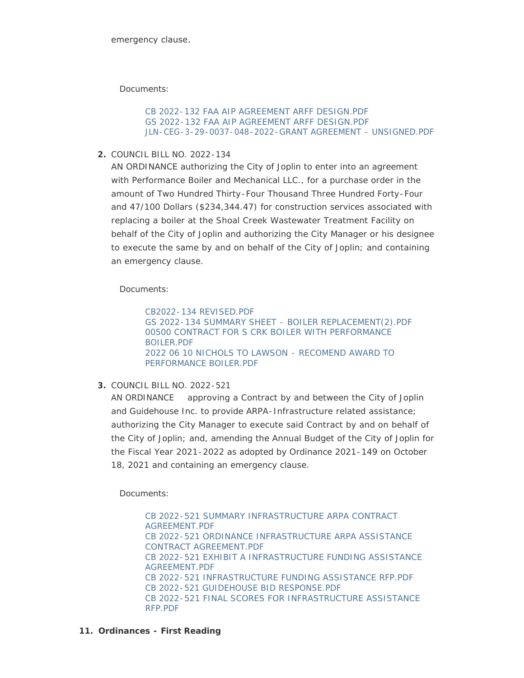Documents:

[CB 2022-132 FAA AIP AGREEMENT ARFF DESIGN.PDF](http://www.joplinmo.org/AgendaCenter/ViewFile/Item/8595?fileID=52238) [GS 2022-132 FAA AIP AGREEMENT ARFF DESIGN.PDF](http://www.joplinmo.org/AgendaCenter/ViewFile/Item/8595?fileID=52239) [JLN-CEG-3-29-0037-048-2022-GRANT AGREEMENT - UNSIGNED.PDF](http://www.joplinmo.org/AgendaCenter/ViewFile/Item/8595?fileID=52240)

COUNCIL BILL NO. 2022-134 **2.**

AN ORDINANCE authorizing the City of Joplin to enter into an agreement with Performance Boiler and Mechanical LLC., for a purchase order in the amount of Two Hundred Thirty-Four Thousand Three Hundred Forty-Four and 47/100 Dollars (\$234,344.47) for construction services associated with replacing a boiler at the Shoal Creek Wastewater Treatment Facility on behalf of the City of Joplin and authorizing the City Manager or his designee to execute the same by and on behalf of the City of Joplin; and containing an emergency clause.

Documents:

[CB2022-134 REVISED.PDF](http://www.joplinmo.org/AgendaCenter/ViewFile/Item/8596?fileID=52241) [GS 2022-134 SUMMARY SHEET - BOILER REPLACEMENT\(2\).PDF](http://www.joplinmo.org/AgendaCenter/ViewFile/Item/8596?fileID=52242) [00500 CONTRACT FOR S CRK BOILER WITH PERFORMANCE](http://www.joplinmo.org/AgendaCenter/ViewFile/Item/8596?fileID=52243)  BOILER.PDF [2022 06 10 NICHOLS TO LAWSON - RECOMEND AWARD TO](http://www.joplinmo.org/AgendaCenter/ViewFile/Item/8596?fileID=52244)  PERFORMANCE BOILER.PDF

COUNCIL BILL NO. 2022-521 **3.**

AN ORDINANCE approving a Contract by and between the City of Joplin and Guidehouse Inc. to provide ARPA-Infrastructure related assistance; authorizing the City Manager to execute said Contract by and on behalf of the City of Joplin; and, amending the Annual Budget of the City of Joplin for the Fiscal Year 2021-2022 as adopted by Ordinance 2021-149 on October 18, 2021 and containing an emergency clause.

Documents:

[CB 2022-521 SUMMARY INFRASTRUCTURE ARPA CONTRACT](http://www.joplinmo.org/AgendaCenter/ViewFile/Item/8607?fileID=52268)  AGREEMENT.PDF [CB 2022-521 ORDINANCE INFRASTRUCTURE ARPA ASSISTANCE](http://www.joplinmo.org/AgendaCenter/ViewFile/Item/8607?fileID=52272)  CONTRACT AGREEMENT.PDF [CB 2022-521 EXHIBIT A INFRASTRUCTURE FUNDING ASSISTANCE](http://www.joplinmo.org/AgendaCenter/ViewFile/Item/8607?fileID=52263)  AGREEMENT.PDF [CB 2022-521 INFRASTRUCTURE FUNDING ASSISTANCE RFP.PDF](http://www.joplinmo.org/AgendaCenter/ViewFile/Item/8607?fileID=52266) [CB 2022-521 GUIDEHOUSE BID RESPONSE.PDF](http://www.joplinmo.org/AgendaCenter/ViewFile/Item/8607?fileID=52265) [CB 2022-521 FINAL SCORES FOR INFRASTRUCTURE ASSISTANCE](http://www.joplinmo.org/AgendaCenter/ViewFile/Item/8607?fileID=52264)  RFP.PDF

**Ordinances - First Reading 11.**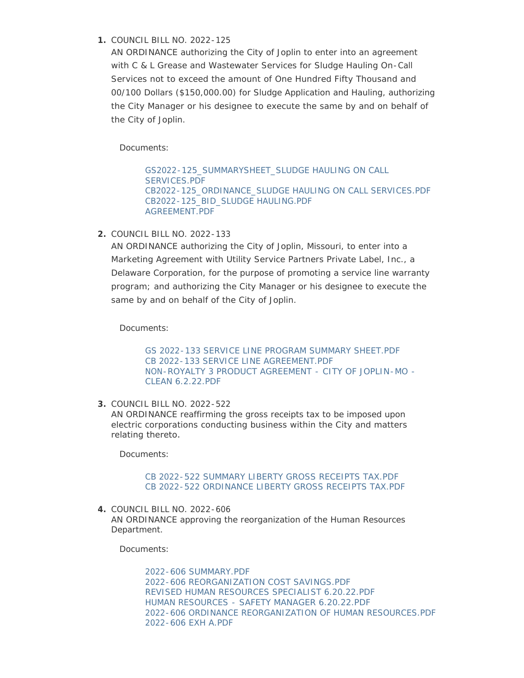# COUNCIL BILL NO. 2022-125 **1.**

AN ORDINANCE authorizing the City of Joplin to enter into an agreement with C & L Grease and Wastewater Services for Sludge Hauling On-Call Services not to exceed the amount of One Hundred Fifty Thousand and 00/100 Dollars (\$150,000.00) for Sludge Application and Hauling, authorizing the City Manager or his designee to execute the same by and on behalf of the City of Joplin.

Documents:

[GS2022-125\\_SUMMARYSHEET\\_SLUDGE HAULING ON CALL](http://www.joplinmo.org/AgendaCenter/ViewFile/Item/8593?fileID=52231)  SERVICES.PDF [CB2022-125\\_ORDINANCE\\_SLUDGE HAULING ON CALL SERVICES.PDF](http://www.joplinmo.org/AgendaCenter/ViewFile/Item/8593?fileID=52232) [CB2022-125\\_BID\\_SLUDGE HAULING.PDF](http://www.joplinmo.org/AgendaCenter/ViewFile/Item/8593?fileID=52233) [AGREEMENT.PDF](http://www.joplinmo.org/AgendaCenter/ViewFile/Item/8593?fileID=52234)

COUNCIL BILL NO. 2022-133 **2.**

AN ORDINANCE authorizing the City of Joplin, Missouri, to enter into a Marketing Agreement with Utility Service Partners Private Label, Inc., a Delaware Corporation, for the purpose of promoting a service line warranty program; and authorizing the City Manager or his designee to execute the same by and on behalf of the City of Joplin.

Documents:

[GS 2022-133 SERVICE LINE PROGRAM SUMMARY SHEET.PDF](http://www.joplinmo.org/AgendaCenter/ViewFile/Item/8611?fileID=52304) [CB 2022-133 SERVICE LINE AGREEMENT.PDF](http://www.joplinmo.org/AgendaCenter/ViewFile/Item/8611?fileID=52303) [NON-ROYALTY 3 PRODUCT AGREEMENT - CITY OF JOPLIN-MO -](http://www.joplinmo.org/AgendaCenter/ViewFile/Item/8611?fileID=52305) CLEAN 6.2.22.PDF

COUNCIL BILL NO. 2022-522 **3.**

AN ORDINANCE reaffirming the gross receipts tax to be imposed upon electric corporations conducting business within the City and matters relating thereto.

Documents:

#### [CB 2022-522 SUMMARY LIBERTY GROSS RECEIPTS TAX.PDF](http://www.joplinmo.org/AgendaCenter/ViewFile/Item/8608?fileID=52271) [CB 2022-522 ORDINANCE LIBERTY GROSS RECEIPTS TAX.PDF](http://www.joplinmo.org/AgendaCenter/ViewFile/Item/8608?fileID=52269)

COUNCIL BILL NO. 2022-606 **4.** AN ORDINANCE approving the reorganization of the Human Resources Department.

Documents:

[2022-606 SUMMARY.PDF](http://www.joplinmo.org/AgendaCenter/ViewFile/Item/8609?fileID=52306) [2022-606 REORGANIZATION COST SAVINGS.PDF](http://www.joplinmo.org/AgendaCenter/ViewFile/Item/8609?fileID=52302) [REVISED HUMAN RESOURCES SPECIALIST 6.20.22.PDF](http://www.joplinmo.org/AgendaCenter/ViewFile/Item/8609?fileID=52276) [HUMAN RESOURCES - SAFETY MANAGER 6.20.22.PDF](http://www.joplinmo.org/AgendaCenter/ViewFile/Item/8609?fileID=52277) [2022-606 ORDINANCE REORGANIZATION OF HUMAN RESOURCES.PDF](http://www.joplinmo.org/AgendaCenter/ViewFile/Item/8609?fileID=52278) [2022-606 EXH A.PDF](http://www.joplinmo.org/AgendaCenter/ViewFile/Item/8609?fileID=52301)